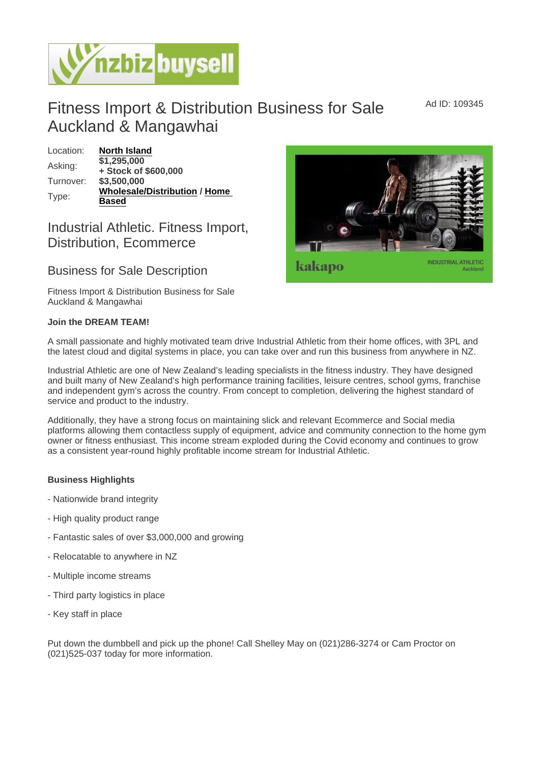## Fitness Import & Distribution Business for Sale Auckland & Mangawhai

Location: [North Island](https://www.nzbizbuysell.co.nz/businesses-for-sale/location/North-Island) Asking:  $\overline{$1,295,000}$ + Stock of \$600,000 Turnover: \$3,500,000 Type: [Wholesale/Distribution](https://www.nzbizbuysell.co.nz/businesses-for-sale/Wholesale--Distribution/New-Zealand) / [Home](https://www.nzbizbuysell.co.nz/businesses-for-sale/Home-Based/New-Zealand)  [Based](https://www.nzbizbuysell.co.nz/businesses-for-sale/Home-Based/New-Zealand)

## Industrial Athletic. Fitness Import, Distribution, Ecommerce

## Business for Sale Description

Fitness Import & Distribution Business for Sale Auckland & Mangawhai

## Join the DREAM TEAM!

A small passionate and highly motivated team drive Industrial Athletic from their home offices, with 3PL and the latest cloud and digital systems in place, you can take over and run this business from anywhere in NZ.

Industrial Athletic are one of New Zealand's leading specialists in the fitness industry. They have designed and built many of New Zealand's high performance training facilities, leisure centres, school gyms, franchise and independent gym's across the country. From concept to completion, delivering the highest standard of service and product to the industry.

Additionally, they have a strong focus on maintaining slick and relevant Ecommerce and Social media platforms allowing them contactless supply of equipment, advice and community connection to the home gym owner or fitness enthusiast. This income stream exploded during the Covid economy and continues to grow as a consistent year-round highly profitable income stream for Industrial Athletic.

Business Highlights

- Nationwide brand integrity
- High quality product range
- Fantastic sales of over \$3,000,000 and growing
- Relocatable to anywhere in NZ
- Multiple income streams
- Third party logistics in place
- Key staff in place

Put down the dumbbell and pick up the phone! Call Shelley May on (021)286-3274 or Cam Proctor on (021)525-037 today for more information.